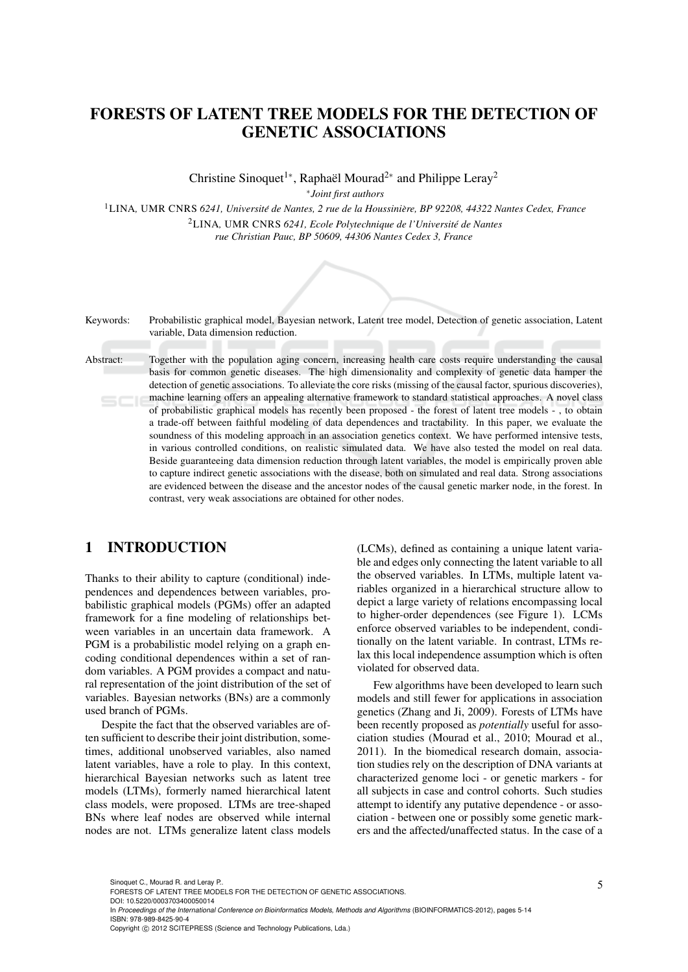# FORESTS OF LATENT TREE MODELS FOR THE DETECTION OF GENETIC ASSOCIATIONS

Christine Sinoquet<sup>1</sup>\*, Raphaël Mourad<sup>2</sup>\* and Philippe Leray<sup>2</sup>

∗ *Joint first authors*

<sup>1</sup> LINA, UMR CNRS 6241, Université de Nantes, 2 rue de la Houssinière, BP 92208, 44322 Nantes Cedex, France <sup>2</sup>LINA*,* UMR CNRS *6241, Ecole Polytechnique de l'Universite de Nantes ´ rue Christian Pauc, BP 50609, 44306 Nantes Cedex 3, France*



Abstract: Together with the population aging concern, increasing health care costs require understanding the causal basis for common genetic diseases. The high dimensionality and complexity of genetic data hamper the detection of genetic associations. To alleviate the core risks (missing of the causal factor, spurious discoveries), machine learning offers an appealing alternative framework to standard statistical approaches. A novel class of probabilistic graphical models has recently been proposed - the forest of latent tree models - , to obtain a trade-off between faithful modeling of data dependences and tractability. In this paper, we evaluate the soundness of this modeling approach in an association genetics context. We have performed intensive tests, in various controlled conditions, on realistic simulated data. We have also tested the model on real data. Beside guaranteeing data dimension reduction through latent variables, the model is empirically proven able to capture indirect genetic associations with the disease, both on simulated and real data. Strong associations are evidenced between the disease and the ancestor nodes of the causal genetic marker node, in the forest. In contrast, very weak associations are obtained for other nodes.

### 1 INTRODUCTION

Thanks to their ability to capture (conditional) independences and dependences between variables, probabilistic graphical models (PGMs) offer an adapted framework for a fine modeling of relationships between variables in an uncertain data framework. A PGM is a probabilistic model relying on a graph encoding conditional dependences within a set of random variables. A PGM provides a compact and natural representation of the joint distribution of the set of variables. Bayesian networks (BNs) are a commonly used branch of PGMs.

Despite the fact that the observed variables are often sufficient to describe their joint distribution, sometimes, additional unobserved variables, also named latent variables, have a role to play. In this context, hierarchical Bayesian networks such as latent tree models (LTMs), formerly named hierarchical latent class models, were proposed. LTMs are tree-shaped BNs where leaf nodes are observed while internal nodes are not. LTMs generalize latent class models

(LCMs), defined as containing a unique latent variable and edges only connecting the latent variable to all the observed variables. In LTMs, multiple latent variables organized in a hierarchical structure allow to depict a large variety of relations encompassing local to higher-order dependences (see Figure 1). LCMs enforce observed variables to be independent, conditionally on the latent variable. In contrast, LTMs relax this local independence assumption which is often violated for observed data.

Few algorithms have been developed to learn such models and still fewer for applications in association genetics (Zhang and Ji, 2009). Forests of LTMs have been recently proposed as *potentially* useful for association studies (Mourad et al., 2010; Mourad et al., 2011). In the biomedical research domain, association studies rely on the description of DNA variants at characterized genome loci - or genetic markers - for all subjects in case and control cohorts. Such studies attempt to identify any putative dependence - or association - between one or possibly some genetic markers and the affected/unaffected status. In the case of a

DOI: 10.5220/0003703400050014 In Proceedings of the International Conference on Bioinformatics Models, Methods and Algorithms (BIOINFORMATICS-2012), pages 5-14 ISBN: 978-989-8425-90-4

Copyright © 2012 SCITEPRESS (Science and Technology Publications, Lda.)

FORESTS OF LATENT TREE MODELS FOR THE DETECTION OF GENETIC ASSOCIATIONS.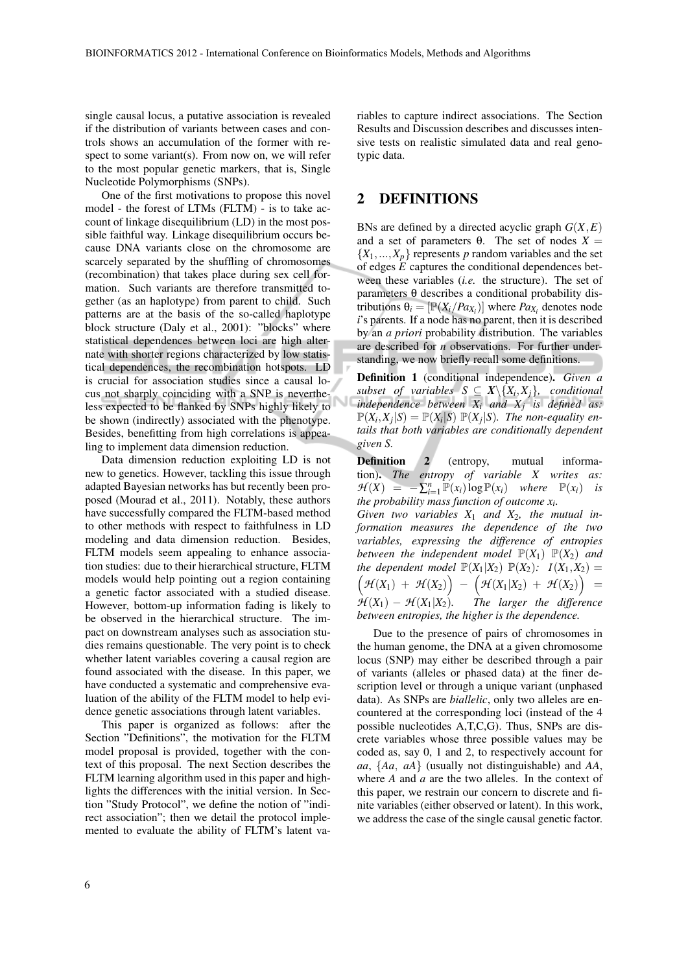single causal locus, a putative association is revealed if the distribution of variants between cases and controls shows an accumulation of the former with respect to some variant(s). From now on, we will refer to the most popular genetic markers, that is, Single Nucleotide Polymorphisms (SNPs).

One of the first motivations to propose this novel model - the forest of LTMs (FLTM) - is to take account of linkage disequilibrium (LD) in the most possible faithful way. Linkage disequilibrium occurs because DNA variants close on the chromosome are scarcely separated by the shuffling of chromosomes (recombination) that takes place during sex cell formation. Such variants are therefore transmitted together (as an haplotype) from parent to child. Such patterns are at the basis of the so-called haplotype block structure (Daly et al., 2001): "blocks" where statistical dependences between loci are high alternate with shorter regions characterized by low statistical dependences, the recombination hotspots. LD is crucial for association studies since a causal locus not sharply coinciding with a SNP is nevertheless expected to be flanked by SNPs highly likely to be shown (indirectly) associated with the phenotype. Besides, benefitting from high correlations is appealing to implement data dimension reduction.

Data dimension reduction exploiting LD is not new to genetics. However, tackling this issue through adapted Bayesian networks has but recently been proposed (Mourad et al., 2011). Notably, these authors have successfully compared the FLTM-based method to other methods with respect to faithfulness in LD modeling and data dimension reduction. Besides, FLTM models seem appealing to enhance association studies: due to their hierarchical structure, FLTM models would help pointing out a region containing a genetic factor associated with a studied disease. However, bottom-up information fading is likely to be observed in the hierarchical structure. The impact on downstream analyses such as association studies remains questionable. The very point is to check whether latent variables covering a causal region are found associated with the disease. In this paper, we have conducted a systematic and comprehensive evaluation of the ability of the FLTM model to help evidence genetic associations through latent variables.

This paper is organized as follows: after the Section "Definitions", the motivation for the FLTM model proposal is provided, together with the context of this proposal. The next Section describes the FLTM learning algorithm used in this paper and highlights the differences with the initial version. In Section "Study Protocol", we define the notion of "indirect association"; then we detail the protocol implemented to evaluate the ability of FLTM's latent variables to capture indirect associations. The Section Results and Discussion describes and discusses intensive tests on realistic simulated data and real genotypic data.

### 2 DEFINITIONS

BNs are defined by a directed acyclic graph  $G(X, E)$ and a set of parameters  $\theta$ . The set of nodes  $X =$  ${X_1, ..., X_p}$  represents *p* random variables and the set of edges *E* captures the conditional dependences between these variables (*i.e.* the structure). The set of parameters θ describes a conditional probability distributions  $\theta_i = [\mathbb{P}(X_i/Pa_{X_i})]$  where  $Pa_{X_i}$  denotes node *i*'s parents. If a node has no parent, then it is described by an *a priori* probability distribution. The variables are described for *n* observations. For further understanding, we now briefly recall some definitions.

Definition 1 (conditional independence). *Given a*  $subset$  of variables  $S \subseteq X \setminus \{X_i, X_j\}$ , conditional *independence between X<sup>i</sup> and X<sup>j</sup> is defined as:*  $\mathbb{P}(X_i, X_j|S) = \mathbb{P}(X_i|S) \mathbb{P}(X_j|S)$ . The non-equality en*tails that both variables are conditionally dependent given S.*

Definition 2 (entropy, mutual information). *The entropy of variable X writes as:*  $\mathcal{H}(X) = -\sum_{i=1}^{n} \mathbb{P}(x_i) \log \mathbb{P}(x_i)$  *where*  $\mathbb{P}(x_i)$  *is the probability mass function of outcome x<sup>i</sup> .* Given two variables  $X_1$  and  $X_2$ , the mutual in*formation measures the dependence of the two variables, expressing the difference of entropies between the independent model*  $\mathbb{P}(X_1)$   $\mathbb{P}(X_2)$  *and the dependent model*  $\mathbb{P}(X_1|X_2) \mathbb{P}(X_2)$ *:*  $I(X_1,X_2) =$  $\left(\mathcal{H}(X_1) + \mathcal{H}(X_2)\right) - \left(\mathcal{H}(X_1|X_2) + \mathcal{H}(X_2)\right) =$  $\hat{H}(X_1) - \mathcal{H}(X_1|X_2)$ . The larger the difference *between entropies, the higher is the dependence.*

Due to the presence of pairs of chromosomes in the human genome, the DNA at a given chromosome locus (SNP) may either be described through a pair of variants (alleles or phased data) at the finer description level or through a unique variant (unphased data). As SNPs are *biallelic*, only two alleles are encountered at the corresponding loci (instead of the 4 possible nucleotides A,T,C,G). Thus, SNPs are discrete variables whose three possible values may be coded as, say 0, 1 and 2, to respectively account for *aa*, {*Aa*, *aA*} (usually not distinguishable) and *AA*, where *A* and *a* are the two alleles. In the context of this paper, we restrain our concern to discrete and finite variables (either observed or latent). In this work, we address the case of the single causal genetic factor.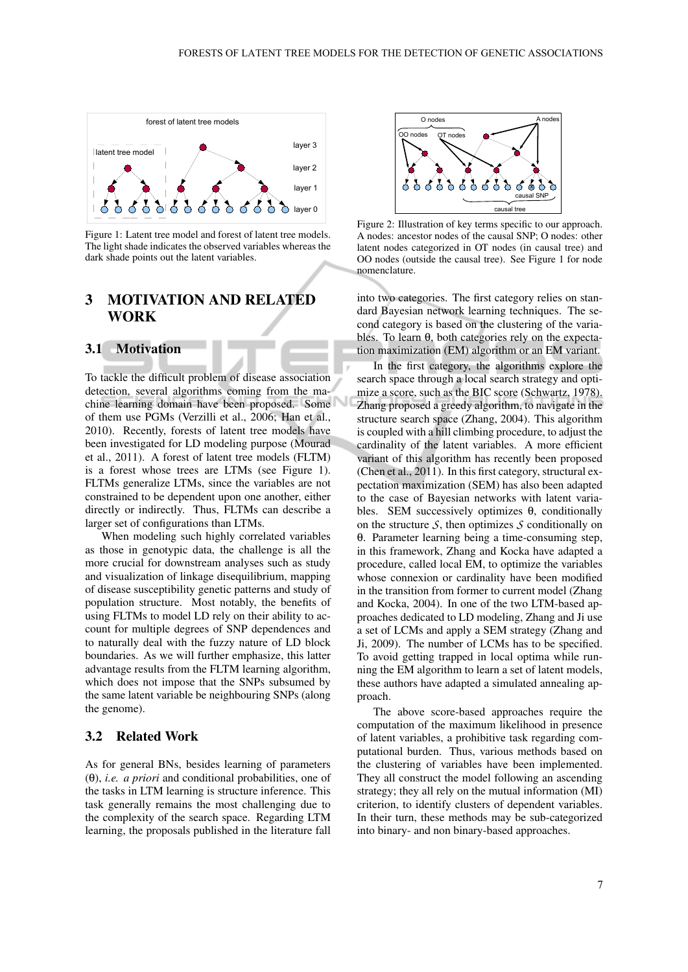

Figure 1: Latent tree model and forest of latent tree models. The light shade indicates the observed variables whereas the dark shade points out the latent variables.

# 3 MOTIVATION AND RELATED WORK

### 3.1 Motivation

To tackle the difficult problem of disease association detection, several algorithms coming from the machine learning domain have been proposed. Some of them use PGMs (Verzilli et al., 2006; Han et al., 2010). Recently, forests of latent tree models have been investigated for LD modeling purpose (Mourad et al., 2011). A forest of latent tree models (FLTM) is a forest whose trees are LTMs (see Figure 1). FLTMs generalize LTMs, since the variables are not constrained to be dependent upon one another, either directly or indirectly. Thus, FLTMs can describe a larger set of configurations than LTMs.

When modeling such highly correlated variables as those in genotypic data, the challenge is all the more crucial for downstream analyses such as study and visualization of linkage disequilibrium, mapping of disease susceptibility genetic patterns and study of population structure. Most notably, the benefits of using FLTMs to model LD rely on their ability to account for multiple degrees of SNP dependences and to naturally deal with the fuzzy nature of LD block boundaries. As we will further emphasize, this latter advantage results from the FLTM learning algorithm, which does not impose that the SNPs subsumed by the same latent variable be neighbouring SNPs (along the genome).

### 3.2 Related Work

As for general BNs, besides learning of parameters (θ), *i.e. a priori* and conditional probabilities, one of the tasks in LTM learning is structure inference. This task generally remains the most challenging due to the complexity of the search space. Regarding LTM learning, the proposals published in the literature fall



Figure 2: Illustration of key terms specific to our approach. A nodes: ancestor nodes of the causal SNP; O nodes: other latent nodes categorized in OT nodes (in causal tree) and OO nodes (outside the causal tree). See Figure 1 for node nomenclature.

into two categories. The first category relies on standard Bayesian network learning techniques. The second category is based on the clustering of the variables. To learn θ, both categories rely on the expectation maximization (EM) algorithm or an EM variant.

In the first category, the algorithms explore the search space through a local search strategy and optimize a score, such as the BIC score (Schwartz, 1978). Zhang proposed a greedy algorithm, to navigate in the structure search space (Zhang, 2004). This algorithm is coupled with a hill climbing procedure, to adjust the cardinality of the latent variables. A more efficient variant of this algorithm has recently been proposed (Chen et al., 2011). In this first category, structural expectation maximization (SEM) has also been adapted to the case of Bayesian networks with latent variables. SEM successively optimizes  $\theta$ , conditionally on the structure  $S$ , then optimizes  $S$  conditionally on θ. Parameter learning being a time-consuming step, in this framework, Zhang and Kocka have adapted a procedure, called local EM, to optimize the variables whose connexion or cardinality have been modified in the transition from former to current model (Zhang and Kocka, 2004). In one of the two LTM-based approaches dedicated to LD modeling, Zhang and Ji use a set of LCMs and apply a SEM strategy (Zhang and Ji, 2009). The number of LCMs has to be specified. To avoid getting trapped in local optima while running the EM algorithm to learn a set of latent models, these authors have adapted a simulated annealing approach.

The above score-based approaches require the computation of the maximum likelihood in presence of latent variables, a prohibitive task regarding computational burden. Thus, various methods based on the clustering of variables have been implemented. They all construct the model following an ascending strategy; they all rely on the mutual information (MI) criterion, to identify clusters of dependent variables. In their turn, these methods may be sub-categorized into binary- and non binary-based approaches.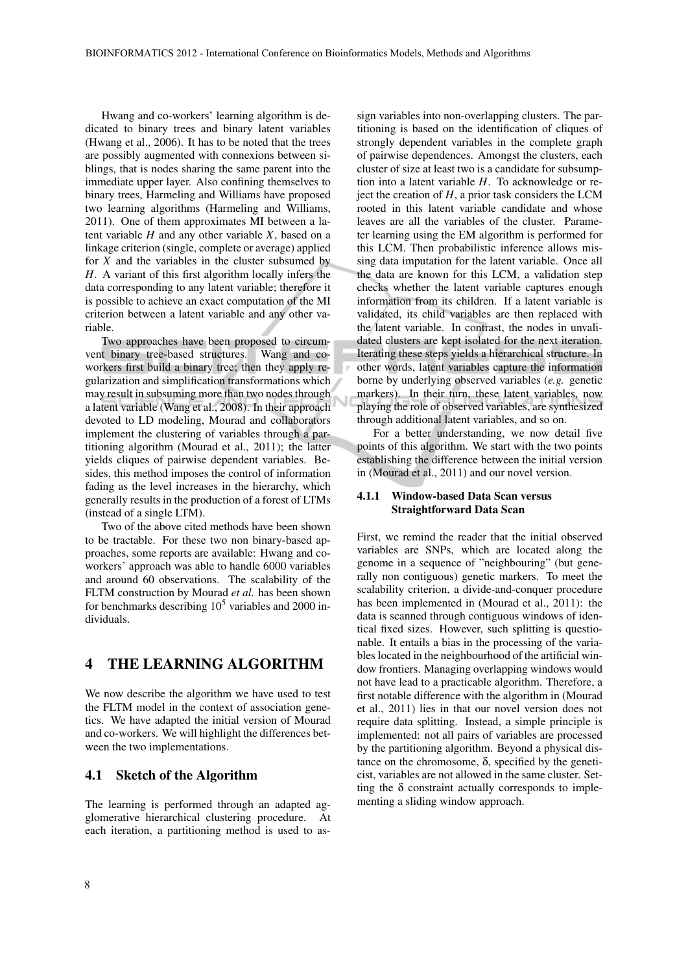Hwang and co-workers' learning algorithm is dedicated to binary trees and binary latent variables (Hwang et al., 2006). It has to be noted that the trees are possibly augmented with connexions between siblings, that is nodes sharing the same parent into the immediate upper layer. Also confining themselves to binary trees, Harmeling and Williams have proposed two learning algorithms (Harmeling and Williams, 2011). One of them approximates MI between a latent variable *H* and any other variable *X*, based on a linkage criterion (single, complete or average) applied for *X* and the variables in the cluster subsumed by *H*. A variant of this first algorithm locally infers the data corresponding to any latent variable; therefore it is possible to achieve an exact computation of the MI criterion between a latent variable and any other variable.

Two approaches have been proposed to circumvent binary tree-based structures. Wang and coworkers first build a binary tree; then they apply regularization and simplification transformations which may result in subsuming more than two nodes through a latent variable (Wang et al., 2008). In their approach devoted to LD modeling, Mourad and collaborators implement the clustering of variables through a partitioning algorithm (Mourad et al., 2011); the latter yields cliques of pairwise dependent variables. Besides, this method imposes the control of information fading as the level increases in the hierarchy, which generally results in the production of a forest of LTMs (instead of a single LTM).

Two of the above cited methods have been shown to be tractable. For these two non binary-based approaches, some reports are available: Hwang and coworkers' approach was able to handle 6000 variables and around 60 observations. The scalability of the FLTM construction by Mourad *et al.* has been shown for benchmarks describing  $10^5$  variables and 2000 individuals.

## 4 THE LEARNING ALGORITHM

We now describe the algorithm we have used to test the FLTM model in the context of association genetics. We have adapted the initial version of Mourad and co-workers. We will highlight the differences between the two implementations.

### 4.1 Sketch of the Algorithm

The learning is performed through an adapted agglomerative hierarchical clustering procedure. At each iteration, a partitioning method is used to as-

sign variables into non-overlapping clusters. The partitioning is based on the identification of cliques of strongly dependent variables in the complete graph of pairwise dependences. Amongst the clusters, each cluster of size at least two is a candidate for subsumption into a latent variable *H*. To acknowledge or reject the creation of  $H$ , a prior task considers the LCM rooted in this latent variable candidate and whose leaves are all the variables of the cluster. Parameter learning using the EM algorithm is performed for this LCM. Then probabilistic inference allows missing data imputation for the latent variable. Once all the data are known for this LCM, a validation step checks whether the latent variable captures enough information from its children. If a latent variable is validated, its child variables are then replaced with the latent variable. In contrast, the nodes in unvalidated clusters are kept isolated for the next iteration. Iterating these steps yields a hierarchical structure. In other words, latent variables capture the information borne by underlying observed variables (*e.g.* genetic markers). In their turn, these latent variables, now playing the role of observed variables, are synthesized through additional latent variables, and so on.

For a better understanding, we now detail five points of this algorithm. We start with the two points establishing the difference between the initial version in (Mourad et al., 2011) and our novel version.

#### 4.1.1 Window-based Data Scan versus Straightforward Data Scan

First, we remind the reader that the initial observed variables are SNPs, which are located along the genome in a sequence of "neighbouring" (but generally non contiguous) genetic markers. To meet the scalability criterion, a divide-and-conquer procedure has been implemented in (Mourad et al., 2011): the data is scanned through contiguous windows of identical fixed sizes. However, such splitting is questionable. It entails a bias in the processing of the variables located in the neighbourhood of the artificial window frontiers. Managing overlapping windows would not have lead to a practicable algorithm. Therefore, a first notable difference with the algorithm in (Mourad et al., 2011) lies in that our novel version does not require data splitting. Instead, a simple principle is implemented: not all pairs of variables are processed by the partitioning algorithm. Beyond a physical distance on the chromosome, δ, specified by the geneticist, variables are not allowed in the same cluster. Setting the  $\delta$  constraint actually corresponds to implementing a sliding window approach.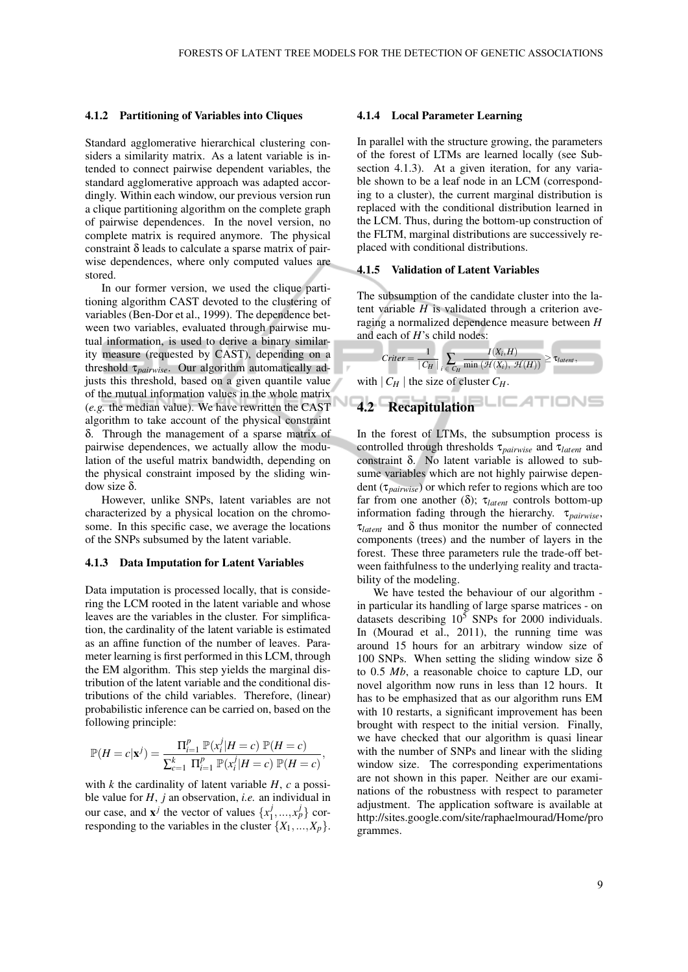#### 4.1.2 Partitioning of Variables into Cliques

Standard agglomerative hierarchical clustering considers a similarity matrix. As a latent variable is intended to connect pairwise dependent variables, the standard agglomerative approach was adapted accordingly. Within each window, our previous version run a clique partitioning algorithm on the complete graph of pairwise dependences. In the novel version, no complete matrix is required anymore. The physical constraint δ leads to calculate a sparse matrix of pairwise dependences, where only computed values are stored.

In our former version, we used the clique partitioning algorithm CAST devoted to the clustering of variables (Ben-Dor et al., 1999). The dependence between two variables, evaluated through pairwise mutual information, is used to derive a binary similarity measure (requested by CAST), depending on a threshold τ*pairwise*. Our algorithm automatically adjusts this threshold, based on a given quantile value of the mutual information values in the whole matrix (*e.g.* the median value). We have rewritten the CAST algorithm to take account of the physical constraint δ. Through the management of a sparse matrix of pairwise dependences, we actually allow the modulation of the useful matrix bandwidth, depending on the physical constraint imposed by the sliding window size δ.

However, unlike SNPs, latent variables are not characterized by a physical location on the chromosome. In this specific case, we average the locations of the SNPs subsumed by the latent variable.

#### 4.1.3 Data Imputation for Latent Variables

Data imputation is processed locally, that is considering the LCM rooted in the latent variable and whose leaves are the variables in the cluster. For simplification, the cardinality of the latent variable is estimated as an affine function of the number of leaves. Parameter learning is first performed in this LCM, through the EM algorithm. This step yields the marginal distribution of the latent variable and the conditional distributions of the child variables. Therefore, (linear) probabilistic inference can be carried on, based on the following principle:

$$
\mathbb{P}(H = c | \mathbf{x}^j) = \frac{\Pi_{i=1}^p \mathbb{P}(x_i^j | H = c) \mathbb{P}(H = c)}{\sum_{c=1}^k \Pi_{i=1}^p \mathbb{P}(x_i^j | H = c) \mathbb{P}(H = c)},
$$

with *k* the cardinality of latent variable *H*, *c* a possible value for *H*, *j* an observation, *i.e.* an individual in our case, and  $\mathbf{x}^j$  the vector of values  $\{x_1^j\}$  $\{i_1, ..., x_p\}$  corresponding to the variables in the cluster  $\{X_1, ..., X_p\}$ .

#### 4.1.4 Local Parameter Learning

In parallel with the structure growing, the parameters of the forest of LTMs are learned locally (see Subsection 4.1.3). At a given iteration, for any variable shown to be a leaf node in an LCM (corresponding to a cluster), the current marginal distribution is replaced with the conditional distribution learned in the LCM. Thus, during the bottom-up construction of the FLTM, marginal distributions are successively replaced with conditional distributions.

### 4.1.5 Validation of Latent Variables

The subsumption of the candidate cluster into the latent variable  $H$  is validated through a criterion averaging a normalized dependence measure between *H* and each of *H*'s child nodes:

$$
Criter = \frac{1}{|C_H|} \sum_{i \in C_H} \frac{I(X_i, H)}{\min(\mathcal{H}(X_i), \mathcal{H}(H))} \ge \tau_{latent},
$$

with 
$$
|C_H|
$$
 the size of cluster  $C_H$ .

4.2 Recapitulation

In the forest of LTMs, the subsumption process is controlled through thresholds τ*pairwise* and τ*latent* and constraint δ. No latent variable is allowed to subsume variables which are not highly pairwise dependent (τ*pairwise*) or which refer to regions which are too far from one another (δ); τ*latent* controls bottom-up information fading through the hierarchy. τ*pairwise*, τ*latent* and δ thus monitor the number of connected components (trees) and the number of layers in the forest. These three parameters rule the trade-off between faithfulness to the underlying reality and tractability of the modeling.

We have tested the behaviour of our algorithm in particular its handling of large sparse matrices - on datasets describing  $10^5$  SNPs for 2000 individuals. In (Mourad et al., 2011), the running time was around 15 hours for an arbitrary window size of 100 SNPs. When setting the sliding window size  $\delta$ to 0.5 *Mb*, a reasonable choice to capture LD, our novel algorithm now runs in less than 12 hours. It has to be emphasized that as our algorithm runs EM with 10 restarts, a significant improvement has been brought with respect to the initial version. Finally, we have checked that our algorithm is quasi linear with the number of SNPs and linear with the sliding window size. The corresponding experimentations are not shown in this paper. Neither are our examinations of the robustness with respect to parameter adjustment. The application software is available at http://sites.google.com/site/raphaelmourad/Home/pro grammes.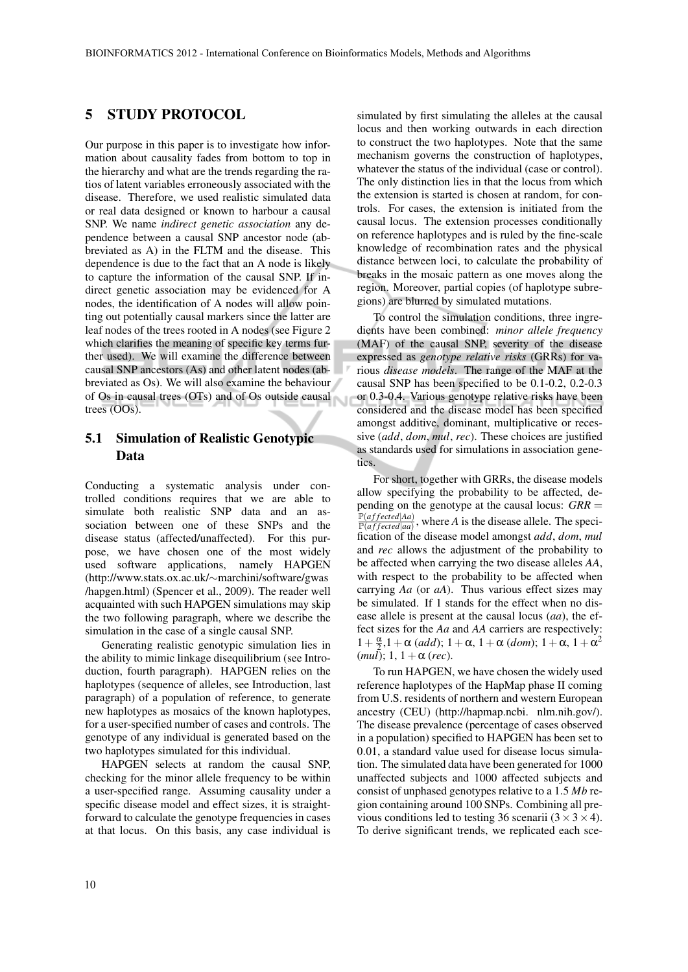## 5 STUDY PROTOCOL

Our purpose in this paper is to investigate how information about causality fades from bottom to top in the hierarchy and what are the trends regarding the ratios of latent variables erroneously associated with the disease. Therefore, we used realistic simulated data or real data designed or known to harbour a causal SNP. We name *indirect genetic association* any dependence between a causal SNP ancestor node (abbreviated as A) in the FLTM and the disease. This dependence is due to the fact that an A node is likely to capture the information of the causal SNP. If indirect genetic association may be evidenced for A nodes, the identification of A nodes will allow pointing out potentially causal markers since the latter are leaf nodes of the trees rooted in A nodes (see Figure 2 which clarifies the meaning of specific key terms further used). We will examine the difference between causal SNP ancestors (As) and other latent nodes (abbreviated as Os). We will also examine the behaviour of Os in causal trees (OTs) and of Os outside causal trees (OOs).

### 5.1 Simulation of Realistic Genotypic Data

Conducting a systematic analysis under controlled conditions requires that we are able to simulate both realistic SNP data and an association between one of these SNPs and the disease status (affected/unaffected). For this purpose, we have chosen one of the most widely used software applications, namely HAPGEN (http://www.stats.ox.ac.uk/∼marchini/software/gwas /hapgen.html) (Spencer et al., 2009). The reader well acquainted with such HAPGEN simulations may skip the two following paragraph, where we describe the simulation in the case of a single causal SNP.

Generating realistic genotypic simulation lies in the ability to mimic linkage disequilibrium (see Introduction, fourth paragraph). HAPGEN relies on the haplotypes (sequence of alleles, see Introduction, last paragraph) of a population of reference, to generate new haplotypes as mosaics of the known haplotypes, for a user-specified number of cases and controls. The genotype of any individual is generated based on the two haplotypes simulated for this individual.

HAPGEN selects at random the causal SNP, checking for the minor allele frequency to be within a user-specified range. Assuming causality under a specific disease model and effect sizes, it is straightforward to calculate the genotype frequencies in cases at that locus. On this basis, any case individual is

simulated by first simulating the alleles at the causal locus and then working outwards in each direction to construct the two haplotypes. Note that the same mechanism governs the construction of haplotypes, whatever the status of the individual (case or control). The only distinction lies in that the locus from which the extension is started is chosen at random, for controls. For cases, the extension is initiated from the causal locus. The extension processes conditionally on reference haplotypes and is ruled by the fine-scale knowledge of recombination rates and the physical distance between loci, to calculate the probability of breaks in the mosaic pattern as one moves along the region. Moreover, partial copies (of haplotype subregions) are blurred by simulated mutations.

To control the simulation conditions, three ingredients have been combined: *minor allele frequency* (MAF) of the causal SNP, severity of the disease expressed as *genotype relative risks* (GRRs) for various *disease models*. The range of the MAF at the causal SNP has been specified to be 0.1-0.2, 0.2-0.3 or 0.3-0.4. Various genotype relative risks have been considered and the disease model has been specified amongst additive, dominant, multiplicative or recessive (*add*, *dom*, *mul*, *rec*). These choices are justified as standards used for simulations in association genetics.

For short, together with GRRs, the disease models allow specifying the probability to be affected, depending on the genotype at the causal locus: *GRR* = P(*a f f ected*|*Aa*)  $\frac{\mathbb{P}(a f)$  *ected*<sub>[*aa*]</sub></sub>, where *A* is the disease allele. The specification of the disease model amongst *add*, *dom*, *mul* and *rec* allows the adjustment of the probability to be affected when carrying the two disease alleles *AA*, with respect to the probability to be affected when carrying *Aa* (or *aA*). Thus various effect sizes may be simulated. If 1 stands for the effect when no disease allele is present at the causal locus (*aa*), the effect sizes for the *Aa* and *AA* carriers are respectively:  $1 + \frac{\alpha}{2}, 1 + \alpha$  (*add*);  $1 + \alpha, 1 + \alpha$  (*dom*);  $1 + \alpha, 1 + \alpha^2$  $(mul); 1, 1+\alpha$  (*rec*).

To run HAPGEN, we have chosen the widely used reference haplotypes of the HapMap phase II coming from U.S. residents of northern and western European ancestry (CEU) (http://hapmap.ncbi. nlm.nih.gov/). The disease prevalence (percentage of cases observed in a population) specified to HAPGEN has been set to 0.01, a standard value used for disease locus simulation. The simulated data have been generated for 1000 unaffected subjects and 1000 affected subjects and consist of unphased genotypes relative to a 1.5 *Mb* region containing around 100 SNPs. Combining all previous conditions led to testing 36 scenarii  $(3 \times 3 \times 4)$ . To derive significant trends, we replicated each sce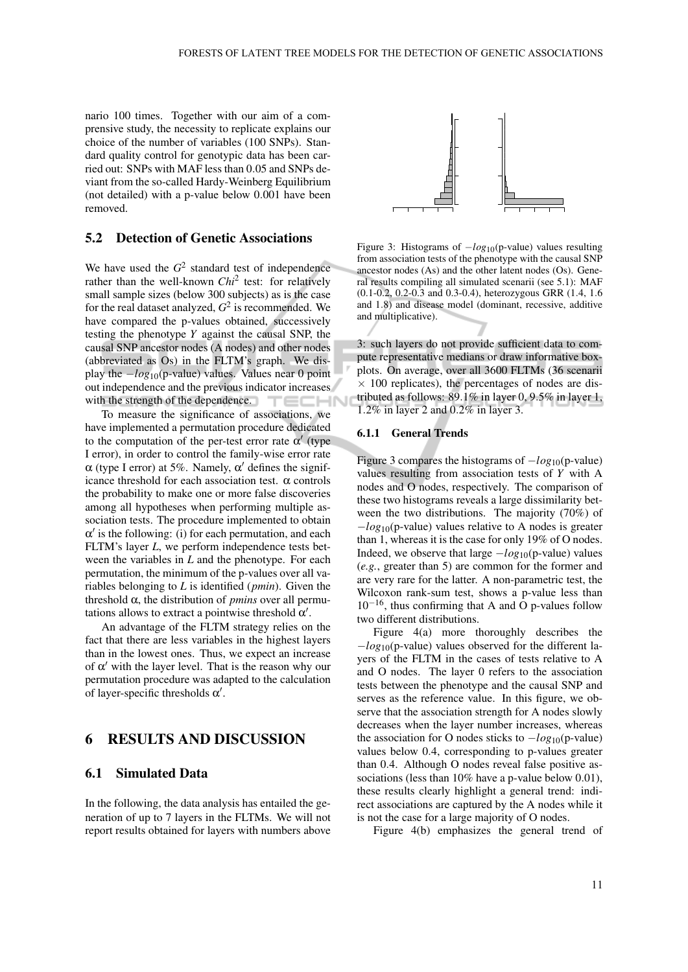nario 100 times. Together with our aim of a comprensive study, the necessity to replicate explains our choice of the number of variables (100 SNPs). Standard quality control for genotypic data has been carried out: SNPs with MAF less than 0.05 and SNPs deviant from the so-called Hardy-Weinberg Equilibrium (not detailed) with a p-value below 0.001 have been removed.

### 5.2 Detection of Genetic Associations

We have used the  $G^2$  standard test of independence rather than the well-known *Chi*<sup>2</sup> test: for relatively small sample sizes (below 300 subjects) as is the case for the real dataset analyzed,  $G^2$  is recommended. We have compared the p-values obtained, successively testing the phenotype *Y* against the causal SNP, the causal SNP ancestor nodes (A nodes) and other nodes (abbreviated as Os) in the FLTM's graph. We display the −*log*10(p-value) values. Values near 0 point out independence and the previous indicator increases with the strength of the dependence. **TECHN** 

To measure the significance of associations, we have implemented a permutation procedure dedicated to the computation of the per-test error rate  $\alpha'$  (type I error), in order to control the family-wise error rate  $\alpha$  (type I error) at 5%. Namely,  $\alpha'$  defines the significance threshold for each association test. α controls the probability to make one or more false discoveries among all hypotheses when performing multiple association tests. The procedure implemented to obtain  $\alpha'$  is the following: (i) for each permutation, and each FLTM's layer *L*, we perform independence tests between the variables in *L* and the phenotype. For each permutation, the minimum of the p-values over all variables belonging to *L* is identified (*pmin*). Given the threshold α, the distribution of *pmins* over all permutations allows to extract a pointwise threshold  $\alpha'$ .

An advantage of the FLTM strategy relies on the fact that there are less variables in the highest layers than in the lowest ones. Thus, we expect an increase of  $\alpha'$  with the layer level. That is the reason why our permutation procedure was adapted to the calculation of layer-specific thresholds  $\alpha'$ .

## 6 RESULTS AND DISCUSSION

### 6.1 Simulated Data

In the following, the data analysis has entailed the generation of up to 7 layers in the FLTMs. We will not report results obtained for layers with numbers above



Figure 3: Histograms of −*log*10(p-value) values resulting from association tests of the phenotype with the causal SNP ancestor nodes (As) and the other latent nodes (Os). General results compiling all simulated scenarii (see 5.1): MAF (0.1-0.2, 0.2-0.3 and 0.3-0.4), heterozygous GRR (1.4, 1.6 and 1.8) and disease model (dominant, recessive, additive and multiplicative).

3: such layers do not provide sufficient data to compute representative medians or draw informative boxplots. On average, over all 3600 FLTMs (36 scenarii  $\times$  100 replicates), the percentages of nodes are distributed as follows: 89.1% in layer 0, 9.5% in layer 1, 1.2% in layer 2 and 0.2% in layer 3.

#### 6.1.1 General Trends

Figure 3 compares the histograms of −*log*10(p-value) values resulting from association tests of *Y* with A nodes and O nodes, respectively. The comparison of these two histograms reveals a large dissimilarity between the two distributions. The majority (70%) of −*log*10(p-value) values relative to A nodes is greater than 1, whereas it is the case for only 19% of O nodes. Indeed, we observe that large −*log*10(p-value) values (*e.g.*, greater than 5) are common for the former and are very rare for the latter. A non-parametric test, the Wilcoxon rank-sum test, shows a p-value less than  $10^{-16}$ , thus confirming that A and O p-values follow two different distributions.

Figure 4(a) more thoroughly describes the −*log*10(p-value) values observed for the different layers of the FLTM in the cases of tests relative to A and O nodes. The layer 0 refers to the association tests between the phenotype and the causal SNP and serves as the reference value. In this figure, we observe that the association strength for A nodes slowly decreases when the layer number increases, whereas the association for O nodes sticks to −*log*10(p-value) values below 0.4, corresponding to p-values greater than 0.4. Although O nodes reveal false positive associations (less than 10% have a p-value below 0.01), these results clearly highlight a general trend: indirect associations are captured by the A nodes while it is not the case for a large majority of O nodes.

Figure 4(b) emphasizes the general trend of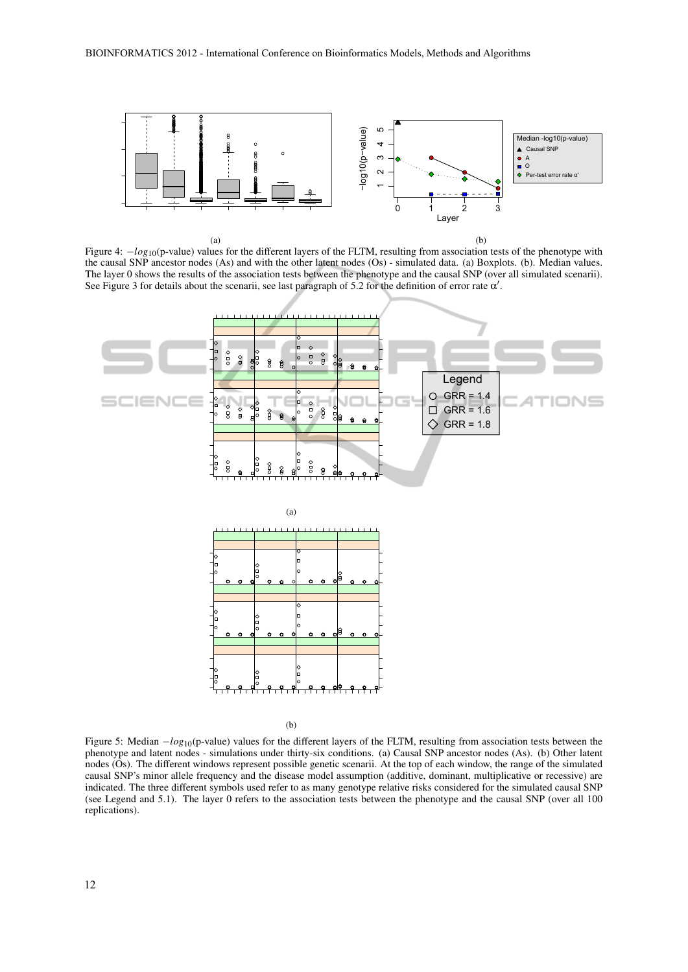

 $(a)$  (b) Figure 4: −*log*10(p-value) values for the different layers of the FLTM, resulting from association tests of the phenotype with the causal SNP ancestor nodes (As) and with the other latent nodes (Os) - simulated data. (a) Boxplots. (b). Median values. The layer 0 shows the results of the association tests between the phenotype and the causal SNP (over all simulated scenarii). See Figure 3 for details about the scenarii, see last paragraph of 5.2 for the definition of error rate  $\alpha'$ .



(b)

Figure 5: Median −*log*10(p-value) values for the different layers of the FLTM, resulting from association tests between the phenotype and latent nodes - simulations under thirty-six conditions. (a) Causal SNP ancestor nodes (As). (b) Other latent nodes (Os). The different windows represent possible genetic scenarii. At the top of each window, the range of the simulated causal SNP's minor allele frequency and the disease model assumption (additive, dominant, multiplicative or recessive) are indicated. The three different symbols used refer to as many genotype relative risks considered for the simulated causal SNP (see Legend and 5.1). The layer 0 refers to the association tests between the phenotype and the causal SNP (over all 100 replications).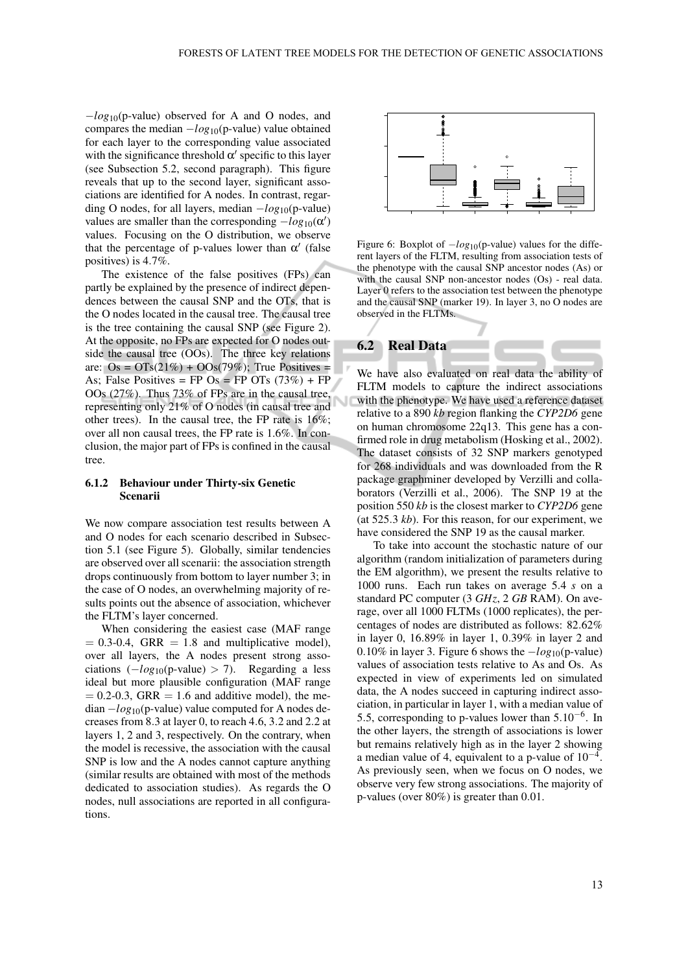−*log*10(p-value) observed for A and O nodes, and compares the median −*log*10(p-value) value obtained for each layer to the corresponding value associated with the significance threshold  $\alpha'$  specific to this layer (see Subsection 5.2, second paragraph). This figure reveals that up to the second layer, significant associations are identified for A nodes. In contrast, regarding O nodes, for all layers, median −*log*10(p-value) values are smaller than the corresponding  $-\log_{10}(\alpha')$ values. Focusing on the O distribution, we observe that the percentage of p-values lower than  $\alpha'$  (false positives) is 4.7%.

The existence of the false positives (FPs) can partly be explained by the presence of indirect dependences between the causal SNP and the OTs, that is the O nodes located in the causal tree. The causal tree is the tree containing the causal SNP (see Figure 2). At the opposite, no FPs are expected for O nodes outside the causal tree (OOs). The three key relations are:  $Os = OTs(21%) + OOs(79%);$  True Positives = As; False Positives = FP Os = FP OTs  $(73\%)$  + FP OOs (27%). Thus 73% of FPs are in the causal tree, representing only 21% of O nodes (in causal tree and other trees). In the causal tree, the FP rate is 16%; over all non causal trees, the FP rate is 1.6%. In conclusion, the major part of FPs is confined in the causal tree.

#### 6.1.2 Behaviour under Thirty-six Genetic Scenarii

We now compare association test results between A and O nodes for each scenario described in Subsection 5.1 (see Figure 5). Globally, similar tendencies are observed over all scenarii: the association strength drops continuously from bottom to layer number 3; in the case of O nodes, an overwhelming majority of results points out the absence of association, whichever the FLTM's layer concerned.

When considering the easiest case (MAF range  $= 0.3-0.4$ , GRR  $= 1.8$  and multiplicative model), over all layers, the A nodes present strong associations (−*log*10(p-value) > 7). Regarding a less ideal but more plausible configuration (MAF range  $= 0.2$ -0.3, GRR  $= 1.6$  and additive model), the median −*log*10(p-value) value computed for A nodes decreases from 8.3 at layer 0, to reach 4.6, 3.2 and 2.2 at layers 1, 2 and 3, respectively. On the contrary, when the model is recessive, the association with the causal SNP is low and the A nodes cannot capture anything (similar results are obtained with most of the methods dedicated to association studies). As regards the O nodes, null associations are reported in all configurations.



Figure 6: Boxplot of −*log*10(p-value) values for the different layers of the FLTM, resulting from association tests of the phenotype with the causal SNP ancestor nodes (As) or with the causal SNP non-ancestor nodes (Os) - real data. Layer 0 refers to the association test between the phenotype and the causal SNP (marker 19). In layer 3, no O nodes are observed in the FLTMs.



We have also evaluated on real data the ability of FLTM models to capture the indirect associations with the phenotype. We have used a reference dataset relative to a 890 *kb* region flanking the *CYP2D6* gene on human chromosome 22q13. This gene has a confirmed role in drug metabolism (Hosking et al., 2002). The dataset consists of 32 SNP markers genotyped for 268 individuals and was downloaded from the R package graphminer developed by Verzilli and collaborators (Verzilli et al., 2006). The SNP 19 at the position 550 *kb* is the closest marker to *CYP2D6* gene (at 525.3 *kb*). For this reason, for our experiment, we have considered the SNP 19 as the causal marker.

To take into account the stochastic nature of our algorithm (random initialization of parameters during the EM algorithm), we present the results relative to 1000 runs. Each run takes on average 5.4 *s* on a standard PC computer (3 *GHz*, 2 *GB* RAM). On average, over all 1000 FLTMs (1000 replicates), the percentages of nodes are distributed as follows: 82.62% in layer 0, 16.89% in layer 1, 0.39% in layer 2 and 0.10% in layer 3. Figure 6 shows the −*log*10(p-value) values of association tests relative to As and Os. As expected in view of experiments led on simulated data, the A nodes succeed in capturing indirect association, in particular in layer 1, with a median value of 5.5, corresponding to p-values lower than  $5.10^{-6}$ . In the other layers, the strength of associations is lower but remains relatively high as in the layer 2 showing a median value of 4, equivalent to a p-value of  $10^{-4}$ . As previously seen, when we focus on O nodes, we observe very few strong associations. The majority of p-values (over 80%) is greater than 0.01.